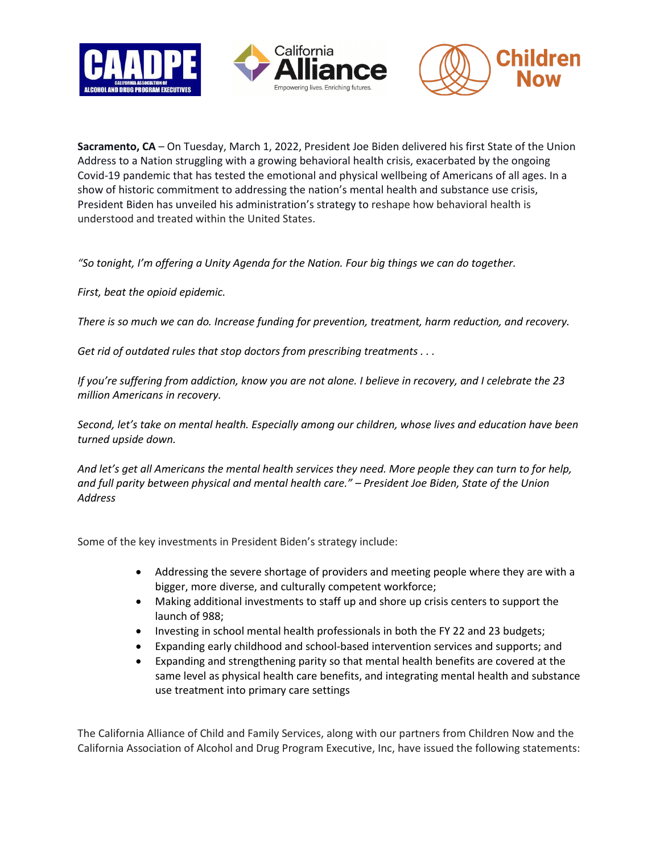





**Sacramento, CA** – On Tuesday, March 1, 2022, President Joe Biden delivered his first State of the Union Address to a Nation struggling with a growing behavioral health crisis, exacerbated by the ongoing Covid-19 pandemic that has tested the emotional and physical wellbeing of Americans of all ages. In a show of historic commitment to addressing the nation's mental health and substance use crisis, President Biden has unveiled his administration's strategy to reshape how behavioral health is understood and treated within the United States.

*"So tonight, I'm offering a Unity Agenda for the Nation. Four big things we can do together.*

*First, beat the opioid epidemic.*

*There is so much we can do. Increase funding for prevention, treatment, harm reduction, and recovery.*

*Get rid of outdated rules that stop doctors from prescribing treatments . . .* 

*If you're suffering from addiction, know you are not alone. I believe in recovery, and I celebrate the 23 million Americans in recovery.*

*Second, let's take on mental health. Especially among our children, whose lives and education have been turned upside down.*

*And let's get all Americans the mental health services they need. More people they can turn to for help, and full parity between physical and mental health care." – President Joe Biden, State of the Union Address*

Some of the key investments in President Biden's strategy include:

- Addressing the severe shortage of providers and meeting people where they are with a bigger, more diverse, and culturally competent workforce;
- Making additional investments to staff up and shore up crisis centers to support the launch of 988;
- Investing in school mental health professionals in both the FY 22 and 23 budgets;
- Expanding early childhood and school-based intervention services and supports; and
- Expanding and strengthening parity so that mental health benefits are covered at the same level as physical health care benefits, and integrating mental health and substance use treatment into primary care settings

The California Alliance of Child and Family Services, along with our partners from Children Now and the California Association of Alcohol and Drug Program Executive, Inc, have issued the following statements: